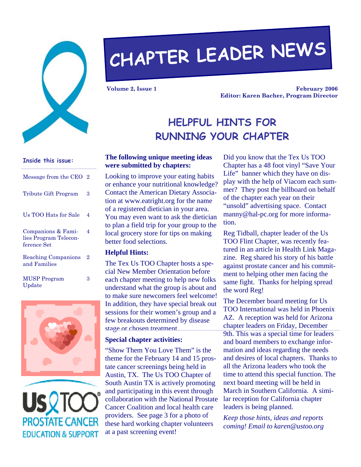

# **CHAPTER LEADER NEWS**

**Volume 2, Issue 1** 

**February 2006 Editor: Karen Bacher, Program Director** 

# **HELPFUL HINTS FOR RUNNING YOUR CHAPTER**

#### **The following unique meeting ideas were submitted by chapters:**

Looking to improve your eating habits or enhance your nutritional knowledge? Contact the American Dietary Association at www.eatright.org for the name of a registered dietician in your area. You may even want to ask the dietician to plan a field trip for your group to the local grocery store for tips on making better food selections.

#### **Helpful Hints:**

The Tex Us TOO Chapter hosts a special New Member Orientation before each chapter meeting to help new folks understand what the group is about and to make sure newcomers feel welcome! In addition, they have special break out sessions for their women's group and a few breakouts determined by disease stage or chosen treatment.

#### **Special chapter activities:**

"Show Them You Love Them" is the theme for the February 14 and 15 prostate cancer screenings being held in Austin, TX. The Us TOO Chapter of South Austin TX is actively promoting and participating in this event through collaboration with the National Prostate Cancer Coalition and local health care providers. See page 3 for a photo of these hard working chapter volunteers at a past screening event!

Did you know that the Tex Us TOO Chapter has a 48 foot vinyl "Save Your Life" banner which they have on display with the help of Viacom each summer? They post the billboard on behalf of the chapter each year on their "unsold" advertising space. Contact manny@hal-pc.org for more information.

Reg Tidball, chapter leader of the Us TOO Flint Chapter, was recently featured in an article in Health Link Magazine. Reg shared his story of his battle against prostate cancer and his commitment to helping other men facing the same fight. Thanks for helping spread the word Reg!

The December board meeting for Us TOO International was held in Phoenix AZ. A reception was held for Arizona chapter leaders on Friday, December 9th. This was a special time for leaders and board members to exchange information and ideas regarding the needs and desires of local chapters. Thanks to all the Arizona leaders who took the time to attend this special function. The next board meeting will be held in March in Southern California. A similar reception for California chapter leaders is being planned.

*Keep those hints, ideas and reports coming! Email to karen@ustoo.org* 

# Message from the CEO 2 Tribute Gift Program 3 Us TOO Hats for Sale 4 Companions & Families Program Teleconference Set 4

**Inside this issue:** 

Reaching Companions and Families 2

MUSP Program Update

3



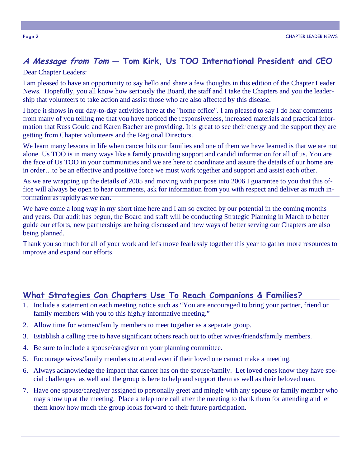# **A Message from Tom — Tom Kirk, Us TOO International President and CEO**

Dear Chapter Leaders:

I am pleased to have an opportunity to say hello and share a few thoughts in this edition of the Chapter Leader News. Hopefully, you all know how seriously the Board, the staff and I take the Chapters and you the leadership that volunteers to take action and assist those who are also affected by this disease.

I hope it shows in our day-to-day activities here at the "home office". I am pleased to say I do hear comments from many of you telling me that you have noticed the responsiveness, increased materials and practical information that Russ Gould and Karen Bacher are providing. It is great to see their energy and the support they are getting from Chapter volunteers and the Regional Directors.

We learn many lessons in life when cancer hits our families and one of them we have learned is that we are not alone. Us TOO is in many ways like a family providing support and candid information for all of us. You are the face of Us TOO in your communities and we are here to coordinate and assure the details of our home are in order…to be an effective and positive force we must work together and support and assist each other.

As we are wrapping up the details of 2005 and moving with purpose into 2006 I guarantee to you that this office will always be open to hear comments, ask for information from you with respect and deliver as much information as rapidly as we can.

We have come a long way in my short time here and I am so excited by our potential in the coming months and years. Our audit has begun, the Board and staff will be conducting Strategic Planning in March to better guide our efforts, new partnerships are being discussed and new ways of better serving our Chapters are also being planned.

Thank you so much for all of your work and let's move fearlessly together this year to gather more resources to improve and expand our efforts.

### **What Strategies Can Chapters Use To Reach Companions & Families?**

- 1. Include a statement on each meeting notice such as "You are encouraged to bring your partner, friend or family members with you to this highly informative meeting."
- 2. Allow time for women/family members to meet together as a separate group.
- 3. Establish a calling tree to have significant others reach out to other wives/friends/family members.
- 4. Be sure to include a spouse/caregiver on your planning committee.
- 5. Encourage wives/family members to attend even if their loved one cannot make a meeting.
- 6. Always acknowledge the impact that cancer has on the spouse/family. Let loved ones know they have special challenges as well and the group is here to help and support them as well as their beloved man.
- 7. Have one spouse/caregiver assigned to personally greet and mingle with any spouse or family member who may show up at the meeting. Place a telephone call after the meeting to thank them for attending and let them know how much the group looks forward to their future participation.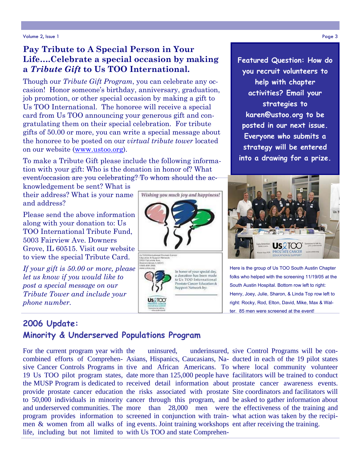Volume 2, Issue 1 Page 3

# **Pay Tribute to A Special Person in Your Life….Celebrate a special occasion by making a** *Tribute Gift* **to Us TOO International.**

Though our *Tribute Gift Program*, you can celebrate any occasion! Honor someone's birthday, anniversary, graduation, job promotion, or other special occasion by making a gift to Us TOO International. The honoree will receive a special card from Us TOO announcing your generous gift and congratulating them on their special celebration. For tribute gifts of 50.00 or more, you can write a special message about the honoree to be posted on our *virtual tribute tower* located on our website (www.ustoo.org).

To make a Tribute Gift please include the following information with your gift: Who is the donation in honor of? What event/occasion are you celebrating? To whom should the ac-

knowledgement be sent? What is their address? What is your name and address?

Please send the above information along with your donation to: Us TOO International Tribute Fund, 5003 Fairview Ave. Downers Grove, IL 60515. Visit our website to view the special Tribute Card.

*If your gift is 50.00 or more, please let us know if you would like to post a special message on our Tribute Tower and include your phone number.*

# **2006 Update: Minority & Underserved Populations Program**

life, including but not limited to with Us TOO and state Comprehen-For the current program year with

men & women from all walks of ing events. Joint training workshops ent after receiving the training.

Wishing you much joy and happiness!

In honor of your special day, a donation has been made to Us TOO International Prostate Cancer Education &<br>Support Network by: **Featured Question: How do you recruit volunteers to help with chapter activities? Email your strategies to karen@ustoo.org to be posted in our next issue. Everyone who submits a strategy will be entered into a drawing for a prize.** 



ter. 85 men were screened at the event!

the uninsured, underinsured, sive Control Programs will be concombined efforts of Comprehen- Asians, Hispanics, Caucasians, Na- ducted in each of the 19 pilot states sive Cancer Controls Programs in tive and African Americans. To where local community volunteer 19 Us TOO pilot program states, date more than 125,000 people have facilitators will be trained to conduct the MUSP Program is dedicated to received detail information about prostate cancer awareness events. provide prostate cancer education the risks associated with prostate Site coordinators and facilitators will to 50,000 individuals in minority cancer through this program, and be asked to gather information about and underserved communities. The more than 28,000 men were the effectiveness of the training and program provides information to screened in conjunction with train- what action was taken by the recipi-